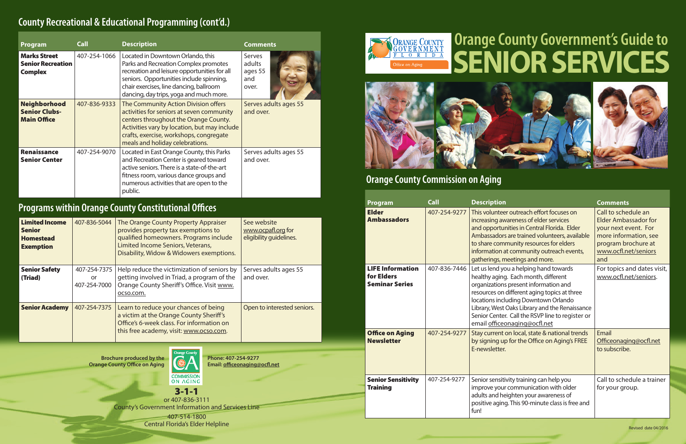**Brochure produced by the Orange County Office on Aging**



3-1-1 or 407-836-3111 County's Government Information and Services Line

> 407-514-1800 Central Florida's Elder Helpline

**Phone: 407-254-9277 Email:<officeonaging@ocfl.net>**





| Program                                                           | <b>Call</b>  | <b>Description</b>                                                                                                                                                                                                                                           | <b>Comments</b>                             |
|-------------------------------------------------------------------|--------------|--------------------------------------------------------------------------------------------------------------------------------------------------------------------------------------------------------------------------------------------------------------|---------------------------------------------|
| <b>Marks Street</b><br><b>Senior Recreation</b><br><b>Complex</b> | 407-254-1066 | Located in Downtown Orlando, this<br>Parks and Recreation Complex promotes<br>recreation and leisure opportunities for all<br>seniors. Opportunities include spinning,<br>chair exercises, line dancing, ballroom<br>dancing, day trips, yoga and much more. | Serves<br>adults<br>ages 55<br>and<br>over. |
| <b>Neighborhood</b><br><b>Senior Clubs-</b><br><b>Main Office</b> | 407-836-9333 | The Community Action Division offers<br>activities for seniors at seven community<br>centers throughout the Orange County.<br>Activities vary by location, but may include<br>crafts, exercise, workshops, congregate<br>meals and holiday celebrations.     | Serves adults ages 55<br>and over.          |
| <b>Renaissance</b><br><b>Senior Center</b>                        | 407-254-9070 | Located in East Orange County, this Parks<br>and Recreation Center is geared toward<br>active seniors. There is a state-of-the-art<br>fitness room, various dance groups and<br>numerous activities that are open to the<br>public.                          | Serves adults ages 55<br>and over.          |

## **Programs within Orange County Constitutional Offices**

## **County Recreational & Educational Programming (cont'd.)**

| <b>Limited Income</b><br><b>Senior</b><br><b>Homestead</b><br><b>Exemption</b> | 407-836-5044                       | The Orange County Property Appraiser<br>provides property tax exemptions to<br>qualified homeowners. Programs include<br>Limited Income Seniors, Veterans,<br>Disability, Widow & Widowers exemptions. | See website<br>www.ocpafl.org for<br>eligibility guidelines. |
|--------------------------------------------------------------------------------|------------------------------------|--------------------------------------------------------------------------------------------------------------------------------------------------------------------------------------------------------|--------------------------------------------------------------|
| <b>Senior Safety</b><br>(Triad)                                                | 407-254-7375<br>or<br>407-254-7000 | Help reduce the victimization of seniors by<br>getting involved in Triad, a program of the<br>Orange County Sheriff's Office. Visit www.<br>ocso.com.                                                  | Serves adults ages 55<br>and over.                           |
| <b>Senior Academy</b>                                                          | 407-254-7375                       | Learn to reduce your chances of being<br>a victim at the Orange County Sheriff's<br>Office's 6-week class. For information on<br>this free academy, visit: www.ocso.com.                               | Open to interested seniors.                                  |

| Program                                                        | <b>Call</b>  | <b>Description</b>                                                                                                                                                                                                                                                                                                                                    | <b>Comments</b>                                                                                                                                           |
|----------------------------------------------------------------|--------------|-------------------------------------------------------------------------------------------------------------------------------------------------------------------------------------------------------------------------------------------------------------------------------------------------------------------------------------------------------|-----------------------------------------------------------------------------------------------------------------------------------------------------------|
| <b>Elder</b><br><b>Ambassadors</b>                             | 407-254-9277 | This volunteer outreach effort focuses on<br>increasing awareness of elder services<br>and opportunities in Central Florida. Elder<br>Ambassadors are trained volunteers, available<br>to share community resources for elders<br>information at community outreach events,<br>gatherings, meetings and more.                                         | Call to schedule an<br><b>Elder Ambassador for</b><br>your next event. For<br>more information, see<br>program brochure at<br>www.ocfl.net/seniors<br>and |
| <b>LIFE Information</b><br>for Elders<br><b>Seminar Series</b> | 407-836-7446 | Let us lend you a helping hand towards<br>healthy aging. Each month, different<br>organizations present information and<br>resources on different aging topics at three<br>locations including Downtown Orlando<br>Library, West Oaks Library and the Renaissance<br>Senior Center. Call the RSVP line to register or<br>email officeonaging@ocfl.net | For topics and dates visit,<br>www.ocfl.net/seniors.                                                                                                      |
| <b>Office on Aging</b><br><b>Newsletter</b>                    | 407-254-9277 | Stay current on local, state & national trends<br>by signing up for the Office on Aging's FREE<br>E-newsletter.                                                                                                                                                                                                                                       | Email<br>Officeonaging@ocfl.net<br>to subscribe.                                                                                                          |
| <b>Senior Sensitivity</b><br><b>Training</b>                   | 407-254-9277 | Senior sensitivity training can help you<br>improve your communication with older<br>adults and heighten your awareness of<br>positive aging. This 90-minute class is free and<br>fun!                                                                                                                                                                | Call to schedule a trainer<br>for your group.                                                                                                             |

# **Orange County Government's Guide to SENIOR SERVICES**

### **Orange County Commission on Aging**